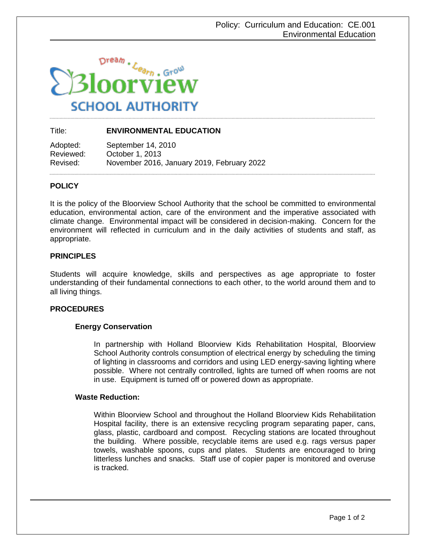

# Title: **ENVIRONMENTAL EDUCATION**

Adopted: September 14, 2010 Reviewed: October 1, 2013 Revised: November 2016, January 2019, February 2022

## **POLICY**

It is the policy of the Bloorview School Authority that the school be committed to environmental education, environmental action, care of the environment and the imperative associated with climate change. Environmental impact will be considered in decision-making. Concern for the environment will reflected in curriculum and in the daily activities of students and staff, as appropriate.

## **PRINCIPLES**

Students will acquire knowledge, skills and perspectives as age appropriate to foster understanding of their fundamental connections to each other, to the world around them and to all living things.

#### **PROCEDURES**

#### **Energy Conservation**

In partnership with Holland Bloorview Kids Rehabilitation Hospital, Bloorview School Authority controls consumption of electrical energy by scheduling the timing of lighting in classrooms and corridors and using LED energy-saving lighting where possible. Where not centrally controlled, lights are turned off when rooms are not in use. Equipment is turned off or powered down as appropriate.

#### **Waste Reduction:**

Within Bloorview School and throughout the Holland Bloorview Kids Rehabilitation Hospital facility, there is an extensive recycling program separating paper, cans, glass, plastic, cardboard and compost. Recycling stations are located throughout the building. Where possible, recyclable items are used e.g. rags versus paper towels, washable spoons, cups and plates. Students are encouraged to bring litterless lunches and snacks. Staff use of copier paper is monitored and overuse is tracked.